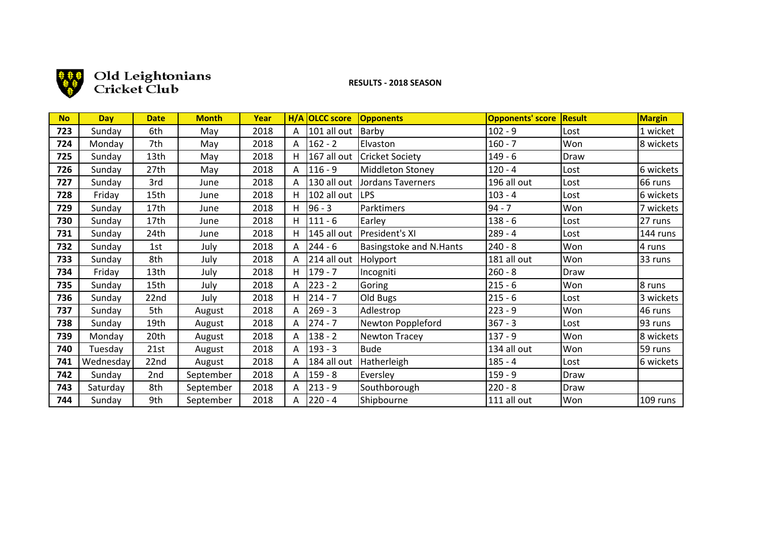

# Old Leightonians

# **!!!!!!!!!!!!!!!!!!!RESULTS!(!2018!SEASON**

| <b>No</b> | Day       | <b>Date</b> | <b>Month</b> | Year |              | H/A OLCC score | Opponents               | <b>Opponents' score</b> | <b>Result</b> | <b>Margin</b> |
|-----------|-----------|-------------|--------------|------|--------------|----------------|-------------------------|-------------------------|---------------|---------------|
| 723       | Sunday    | 6th         | May          | 2018 | $\mathsf{A}$ | $101$ all out  | Barby                   | $102 - 9$               | Lost          | 1 wicket      |
| 724       | Monday    | 7th         | May          | 2018 | A            | $162 - 2$      | Elvaston                | $160 - 7$               | Won           | 8 wickets     |
| 725       | Sunday    | 13th        | May          | 2018 | H.           | 167 all out    | <b>Cricket Society</b>  | $149 - 6$               | Draw          |               |
| 726       | Sunday    | 27th        | May          | 2018 | A            | $116 - 9$      | Middleton Stoney        | $120 - 4$               | Lost          | 6 wickets     |
| 727       | Sunday    | 3rd         | June         | 2018 | A            | 130 all out    | Jordans Taverners       | 196 all out             | Lost          | 66 runs       |
| 728       | Friday    | 15th        | June         | 2018 | H.           | 102 all out    | <b>LPS</b>              | $103 - 4$               | Lost          | 6 wickets     |
| 729       | Sunday    | 17th        | June         | 2018 | H.           | 96 - 3         | Parktimers              | $94 - 7$                | Won           | 7 wickets     |
| 730       | Sunday    | 17th        | June         | 2018 | H.           | $111 - 6$      | Earley                  | $138 - 6$               | Lost          | 27 runs       |
| 731       | Sunday    | 24th        | June         | 2018 | н            | 145 all out    | President's XI          | $289 - 4$               | Lost          | 144 runs      |
| 732       | Sunday    | 1st         | July         | 2018 | A            | $244 - 6$      | Basingstoke and N.Hants | $240 - 8$               | Won           | 4 runs        |
| 733       | Sunday    | 8th         | July         | 2018 | $\mathsf{A}$ | 214 all out    | Holyport                | 181 all out             | Won           | 33 runs       |
| 734       | Friday    | 13th        | July         | 2018 | H.           | $179 - 7$      | Incogniti               | $260 - 8$               | Draw          |               |
| 735       | Sunday    | 15th        | July         | 2018 | A            | $223 - 2$      | Goring                  | $215 - 6$               | Won           | 8 runs        |
| 736       | Sunday    | 22nd        | July         | 2018 | H.           | 214 - 7        | Old Bugs                | $215 - 6$               | Lost          | 3 wickets     |
| 737       | Sunday    | 5th         | August       | 2018 | A            | $269 - 3$      | Adlestrop               | $223 - 9$               | Won           | 46 runs       |
| 738       | Sunday    | 19th        | August       | 2018 | A            | $274 - 7$      | Newton Poppleford       | $367 - 3$               | Lost          | 93 runs       |
| 739       | Monday    | 20th        | August       | 2018 | A            | $138 - 2$      | Newton Tracey           | $137 - 9$               | Won           | 8 wickets     |
| 740       | Tuesday   | 21st        | August       | 2018 | A            | $193 - 3$      | <b>Bude</b>             | 134 all out             | Won           | 59 runs       |
| 741       | Wednesday | 22nd        | August       | 2018 | $\mathsf{A}$ | 184 all out    | Hatherleigh             | $185 - 4$               | Lost          | 6 wickets     |
| 742       | Sunday    | 2nd         | September    | 2018 | A            | $159 - 8$      | Eversley                | $159 - 9$               | Draw          |               |
| 743       | Saturday  | 8th         | September    | 2018 | A            | $213 - 9$      | Southborough            | $220 - 8$               | Draw          |               |
| 744       | Sunday    | 9th         | September    | 2018 | A            | 220 - 4        | Shipbourne              | 111 all out             | Won           | 109 runs      |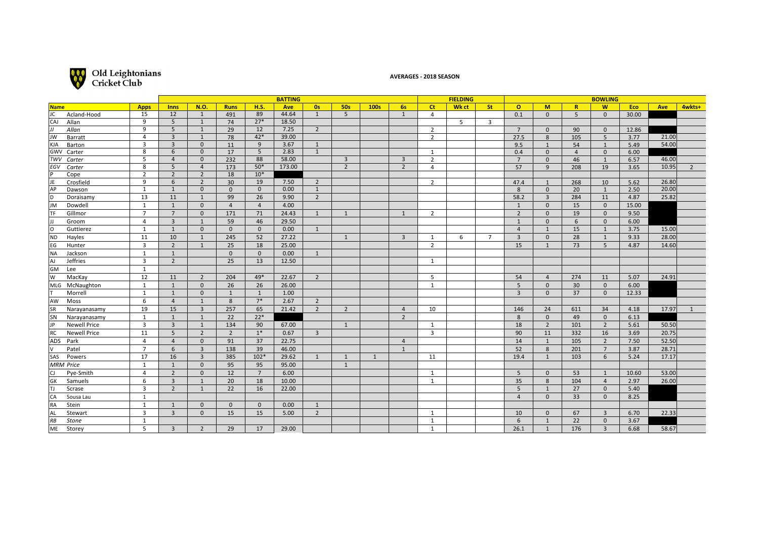

### **AVERAGES - 2018 SEASON**

|                            |                         |                | <b>BATTING</b> |                |                |        |                | <b>FIELDING</b> |      |                | <b>BOWLING</b>      |       |                |                |                |                 |                 |       |       |                |
|----------------------------|-------------------------|----------------|----------------|----------------|----------------|--------|----------------|-----------------|------|----------------|---------------------|-------|----------------|----------------|----------------|-----------------|-----------------|-------|-------|----------------|
| <b>Name</b>                | <b>Apps</b>             | <b>Inns</b>    | <b>N.O.</b>    | <b>Runs</b>    | <b>H.S.</b>    | Ave    | Os:            | <b>50s</b>      | 100s | <b>6s</b>      | <b>Ct</b>           | Wk ct | St:            | $\circ$        | M              | $\mathbb{R}$    | <b>W</b>        | Eco   | Ave   | 4wkts+         |
| JC.<br>Acland-Hood         | 15                      | 12             | 1              | 491            | 89             | 44.64  | 1              | 5               |      | 1              | $\overline{4}$      |       |                | 0.1            | $\mathbf{0}$   | 5               | $\mathbf{0}$    | 30.00 |       |                |
| CAJ<br>Allan               | 9                       | 5              | 1              | 74             | $27*$          | 18.50  |                |                 |      |                |                     | 5     | $\overline{3}$ |                |                |                 |                 |       |       |                |
| IJ<br>Allan                | 9                       | 5              | 1              | 29             | 12             | 7.25   | $\overline{2}$ |                 |      |                | $\overline{2}$      |       |                | $7^{\circ}$    | $\mathbf{0}$   | 90              | $\mathbf{0}$    | 12.86 |       |                |
| JW<br>Barratt              | $\overline{4}$          | $\overline{3}$ | $\mathbf{1}$   | 78             | $42*$          | 39.00  |                |                 |      |                | $\overline{2}$      |       |                | 27.5           | 8              | 105             | 5               | 3.77  | 21.00 |                |
| KJA<br>Barton              | $\overline{3}$          | $\overline{3}$ | $\mathbf{0}$   | 11             | 9              | 3.67   | 1              |                 |      |                |                     |       |                | 9.5            | $\mathbf{1}$   | 54              | 1               | 5.49  | 54.00 |                |
| GWV Carter                 | 8                       | 6              | $\mathbf{0}$   | 17             | 5              | 2.83   | $\mathbf{1}$   |                 |      |                | 1                   |       |                | 0.4            | $\mathbf{0}$   | $\overline{4}$  | $\mathbf 0$     | 6.00  |       |                |
| TWV Carter                 | 5                       | $\overline{4}$ | $\mathbf{0}$   | 232            | 88             | 58.00  |                | $\overline{3}$  |      | $\overline{3}$ | $\overline{2}$      |       |                | $7^{\circ}$    | $\mathbf{0}$   | 46              | 1               | 6.57  | 46.00 |                |
| EGV<br>Carter              | 8                       | 5              | $\overline{4}$ | 173            | $50*$          | 173.00 |                | $\overline{2}$  |      | $\overline{2}$ | $\overline{a}$      |       |                | 57             | 9              | 208             | 19              | 3.65  | 10.95 | $\overline{2}$ |
| lP.<br>Cope                | $\overline{2}$          | $\overline{2}$ | $\overline{2}$ | 18             | $10*$          |        |                |                 |      |                |                     |       |                |                |                |                 |                 |       |       |                |
| JE<br>Crosfield            | 9                       | 6              | 2              | 30             | 19             | 7.50   | 2              |                 |      |                | $\overline{2}$      |       |                | 47.4           | $\overline{1}$ | 268             | 10              | 5.62  | 26.80 |                |
| AP<br>Dawson               | 1                       | 1              | $\mathbf{0}$   | $\mathbf{0}$   | $\mathbf{0}$   | 0.00   | $\mathbf{1}$   |                 |      |                |                     |       |                | 8              | $\mathbf 0$    | 20              | 1               | 2.50  | 20.00 |                |
| ld.<br>Doraisamy           | 13                      | 11             | $\mathbf{1}$   | 99             | 26             | 9.90   | $\overline{2}$ |                 |      |                |                     |       |                | 58.2           | $\overline{3}$ | 284             | 11              | 4.87  | 25.82 |                |
| JM<br>Dowdell              | 1                       | $\mathbf{1}$   | $\mathbf{0}$   | $\overline{4}$ | $\overline{4}$ | 4.00   |                |                 |      |                |                     |       |                | 1              | $\mathbf{0}$   | 15              | $\overline{0}$  | 15.00 |       |                |
| TF.<br>Gillmor             | $\overline{7}$          | $7^{\circ}$    | $\mathbf{0}$   | 171            | 71             | 24.43  | 1              | 1               |      | 1              | 2                   |       |                | $\overline{2}$ | $\mathbf 0$    | 19              | $\overline{0}$  | 9.50  |       |                |
| lu.<br>Groom               | $\overline{4}$          | $\overline{3}$ | 1              | 59             | 46             | 29.50  |                |                 |      |                |                     |       |                | 1              | $\mathbf{0}$   | 6               | $\mathbf{0}$    | 6.00  |       |                |
| lo<br>Guttierez            | $\mathbf{1}$            | $\mathbf{1}$   | $\mathbf{0}$   | $\mathbf{0}$   | $\mathbf{0}$   | 0.00   | 1              |                 |      |                |                     |       |                | $\overline{4}$ | $\mathbf{1}$   | 15              | 1               | 3.75  | 15.00 |                |
| N <sub>D</sub><br>Hayles   | 11                      | 10             | $\mathbf{1}$   | 245            | 52             | 27.22  |                | 1               |      | 3              | 1                   | 6     | $\overline{7}$ | $\overline{3}$ | $\mathbf 0$    | 28              | 1               | 9.33  | 28.00 |                |
| EG<br>Hunter               | $\overline{\mathbf{3}}$ | $\overline{2}$ | 1              | 25             | 18             | 25.00  |                |                 |      |                | $\overline{2}$      |       |                | 15             | $\mathbf{1}$   | 73              | 5               | 4.87  | 14.60 |                |
| Jackson<br><b>NA</b>       | 1                       | $\mathbf{1}$   |                | $\mathbf{0}$   | $\mathbf{0}$   | 0.00   | 1              |                 |      |                |                     |       |                |                |                |                 |                 |       |       |                |
| Jeffries<br>lAJ            | $\overline{3}$          | $\overline{2}$ |                | 25             | 13             | 12.50  |                |                 |      |                | $\mathbf{1}$        |       |                |                |                |                 |                 |       |       |                |
| GM<br>Lee                  | $\mathbf{1}$            |                |                |                |                |        |                |                 |      |                |                     |       |                |                |                |                 |                 |       |       |                |
| lw<br>MacKay               | 12                      | 11             | $\overline{2}$ | 204            | 49*            | 22.67  | $\overline{2}$ |                 |      |                | 5                   |       |                | 54             | $\overline{4}$ | 274             | 11              | 5.07  | 24.91 |                |
| MLG McNaughton             | 1                       | 1              | $\Omega$       | 26             | 26             | 26.00  |                |                 |      |                | 1                   |       |                | 5              | $\mathbf 0$    | 30 <sup>°</sup> | $\overline{0}$  | 6.00  |       |                |
| Morrell<br>ΙT.             | 1                       | 1              | $\Omega$       | $\mathbf{1}$   | 1              | 1.00   |                |                 |      |                |                     |       |                | $\overline{3}$ | $\mathbf{0}$   | 37              | $\mathbf{0}$    | 12.33 |       |                |
| AW<br>Moss                 | 6                       | $\overline{4}$ | $\mathbf{1}$   | 8              | $7^*$          | 2.67   | 2              |                 |      |                |                     |       |                |                |                |                 |                 |       |       |                |
| lsr<br>Narayanasamy        | 19                      | 15             | $\overline{3}$ | 257            | 65             | 21.42  | 2              | $\overline{2}$  |      | $\overline{4}$ | 10                  |       |                | 146            | 24             | 611             | 34              | 4.18  | 17.97 | $\mathbf{1}$   |
| <b>SN</b><br>Narayanasamy  | 1                       | $\mathbf{1}$   | 1              | 22             | $22*$          |        |                |                 |      | $\overline{2}$ |                     |       |                | 8              | $\mathbf 0$    | 49              | $\overline{0}$  | 6.13  |       |                |
|                            | $\overline{3}$          | $\overline{3}$ | $\mathbf{1}$   | 134            |                |        |                |                 |      |                |                     |       |                | 18             | $\overline{2}$ | 101             | $\overline{2}$  |       |       |                |
| <b>Newell Price</b><br>JP. |                         |                | $\overline{2}$ |                | 90<br>$1^*$    | 67.00  |                | $\mathbf{1}$    |      |                | 1<br>$\overline{3}$ |       |                |                |                |                 |                 | 5.61  | 50.50 |                |
| <b>Newell Price</b><br>RC  | 11                      | 5              |                | $\overline{2}$ |                | 0.67   | $\overline{3}$ |                 |      |                |                     |       |                | 90             | 11             | 332             | 16              | 3.69  | 20.75 |                |
| ADS<br>Park                | $\overline{4}$          | $\overline{4}$ | $\mathbf{0}$   | 91             | 37             | 22.75  |                |                 |      | $\overline{4}$ |                     |       |                | 14             | $\mathbf{1}$   | 105             | $\overline{2}$  | 7.50  | 52.50 |                |
| Patel<br>V                 | $\overline{7}$          | 6              | $\overline{3}$ | 138            | 39             | 46.00  |                |                 |      | 1              |                     |       |                | 52             | 8              | 201             | $7\overline{ }$ | 3.87  | 28.71 |                |
| SAS<br>Powers              | 17                      | 16             | $\overline{3}$ | 385            | $102*$         | 29.62  | 1              | $\overline{1}$  | 1    |                | 11                  |       |                | 19.4           | $\mathbf{1}$   | 103             | 6               | 5.24  | 17.17 |                |
| <b>MRM Price</b>           | $\mathbf{1}$            | $\mathbf{1}$   | $\Omega$       | 95             | 95             | 95.00  |                | $\mathbf{1}$    |      |                |                     |       |                |                |                |                 |                 |       |       |                |
| lcı.<br>Pye-Smith          | $\overline{4}$          | $\overline{2}$ | $\mathbf{0}$   | 12             | $7^{\circ}$    | 6.00   |                |                 |      |                | $\mathbf{1}$        |       |                | 5              | $\mathbf 0$    | 53              | 1               | 10.60 | 53.00 |                |
| GK<br>Samuels              | 6                       | $\overline{3}$ | $\mathbf{1}$   | 20             | 18             | 10.00  |                |                 |      |                | $\mathbf{1}$        |       |                | 35             | 8              | 104             | $\overline{4}$  | 2.97  | 26.00 |                |
| Scrase<br>TJ.              | 3                       | $\overline{2}$ | $\mathbf{1}$   | 22             | 16             | 22.00  |                |                 |      |                |                     |       |                | 5              | $\mathbf{1}$   | 27              | $\overline{0}$  | 5.40  |       |                |
| Sousa Lau<br>CA            | 1                       |                |                |                |                |        |                |                 |      |                |                     |       |                | $\overline{A}$ | $\mathbf{0}$   | 33              | $\mathbf{0}$    | 8.25  |       |                |
| Stein<br>RA                | $\overline{1}$          | 1              | $\mathbf{0}$   | $\mathbf{0}$   | $\mathbf{0}$   | 0.00   | 1              |                 |      |                |                     |       |                |                |                |                 |                 |       |       |                |
| AL<br>Stewart              | $\overline{3}$          | $\overline{3}$ | $\mathbf{0}$   | 15             | 15             | 5.00   | $\overline{2}$ |                 |      |                | 1                   |       |                | 10             | $\mathbf{0}$   | 67              | $\overline{3}$  | 6.70  | 22.33 |                |
| RB<br>Stone                | 1                       |                |                |                |                |        |                |                 |      |                | $\mathbf{1}$        |       |                | 6              | $\mathbf{1}$   | 22              | $\mathbf{0}$    | 3.67  |       |                |
| ME<br>Storey               | 5                       | $\overline{3}$ | $\overline{2}$ | 29             | 17             | 29.00  |                |                 |      |                | $\mathbf{1}$        |       |                | 26.1           | 1              | 176             | $\overline{3}$  | 6.68  | 58.67 |                |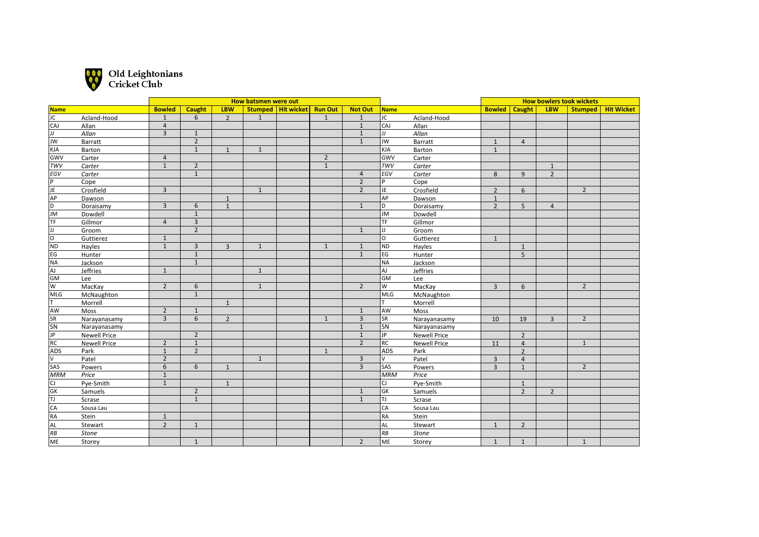

|                                                                                                   |                     |                | How batsmen were out |                |                |                      |                |                |            |                     |                | <b>How bowlers took wickets</b> |                |                |                   |
|---------------------------------------------------------------------------------------------------|---------------------|----------------|----------------------|----------------|----------------|----------------------|----------------|----------------|------------|---------------------|----------------|---------------------------------|----------------|----------------|-------------------|
| Name                                                                                              |                     | <b>Bowled</b>  | Caught               | <b>LBW</b>     |                | Stumped   Hit wicket | <b>Run Out</b> | <b>Not Out</b> | Name       |                     | <b>Bowled</b>  | Caught                          | <b>LBW</b>     | Stumped        | <b>Hit Wicket</b> |
| $\overline{JC}$                                                                                   | Acland-Hood         | $\mathbf{1}$   | 6                    | $\overline{2}$ | $\overline{1}$ |                      | $\mathbf{1}$   | $\mathbf{1}$   | JC         | Acland-Hood         |                |                                 |                |                |                   |
| CAJ                                                                                               | Allan               | $\overline{4}$ |                      |                |                |                      |                | $\mathbf{1}$   | CAJ        | Allan               |                |                                 |                |                |                   |
| $\overline{J}$                                                                                    | Allan               | $\overline{3}$ | $\mathbf{1}$         |                |                |                      |                | $\mathbf{1}$   | IJ         | Allan               |                |                                 |                |                |                   |
| <b>JW</b>                                                                                         | Barratt             |                | $\overline{2}$       |                |                |                      |                | $\mathbf{1}$   | JW         | Barratt             | $\mathbf{1}$   | $\overline{4}$                  |                |                |                   |
| KJA                                                                                               | Barton              |                | $\mathbf{1}$         | $\mathbf{1}$   | 1              |                      |                |                | KJA        | Barton              | $\mathbf{1}$   |                                 |                |                |                   |
| GWV                                                                                               | Carter              | $\overline{4}$ |                      |                |                |                      | $\overline{2}$ |                | <b>GWV</b> | Carter              |                |                                 |                |                |                   |
| TWV                                                                                               | Carter              | $\mathbf{1}$   | $\overline{2}$       |                |                |                      | $\mathbf{1}$   |                | <b>TWV</b> | Carter              |                |                                 | $\mathbf{1}$   |                |                   |
| EGV                                                                                               | Carter              |                | $\mathbf{1}$         |                |                |                      |                | $\overline{4}$ | EGV        | Carter              | 8              | 9                               | $\overline{2}$ |                |                   |
| $\frac{\overline{P}}{\frac{\overline{JP}}{\overline{AP}}}}$ $\frac{\overline{DP}}{\overline{DN}}$ | Cope                |                |                      |                |                |                      |                | $\overline{2}$ | P          | Cope                |                |                                 |                |                |                   |
|                                                                                                   | Crosfield           | $\overline{3}$ |                      |                | $\mathbf{1}$   |                      |                | $\overline{2}$ | JE         | Crosfield           | $\overline{2}$ | 6                               |                | $\overline{2}$ |                   |
|                                                                                                   | Dawson              |                |                      | $\mathbf{1}$   |                |                      |                |                | <b>AP</b>  | Dawson              | $\overline{1}$ |                                 |                |                |                   |
|                                                                                                   | Doraisamy           | $\overline{3}$ | 6                    | $\mathbf{1}$   |                |                      |                | $\mathbf{1}$   | ld.        | Doraisamy           | $\overline{2}$ | 5                               | $\overline{4}$ |                |                   |
|                                                                                                   | Dowdell             |                | $\mathbf{1}$         |                |                |                      |                |                | Jм         | Dowdell             |                |                                 |                |                |                   |
| TF                                                                                                | Gillmor             | $\overline{4}$ | $\overline{3}$       |                |                |                      |                |                | TF         | Gillmor             |                |                                 |                |                |                   |
| $\frac{1}{10}$                                                                                    | Groom               |                | $\overline{2}$       |                |                |                      |                | $\mathbf{1}$   | IJ         | Groom               |                |                                 |                |                |                   |
|                                                                                                   | Guttierez           | $\mathbf{1}$   |                      |                |                |                      |                |                | O          | Guttierez           | $\mathbf{1}$   |                                 |                |                |                   |
| ND                                                                                                | Hayles              | $\mathbf{1}$   | $\overline{3}$       | $\overline{3}$ | $\mathbf{1}$   |                      | $\mathbf{1}$   | $\mathbf{1}$   | ND         | Hayles              |                | $\mathbf{1}$                    |                |                |                   |
| EG                                                                                                | Hunter              |                | $\mathbf{1}$         |                |                |                      |                | $\mathbf{1}$   | EG         | Hunter              |                | 5                               |                |                |                   |
| NA                                                                                                | Jackson             |                | $\mathbf{1}$         |                |                |                      |                |                | NA)        | Jackson             |                |                                 |                |                |                   |
| <b>AJ</b>                                                                                         | Jeffries            | $\mathbf{1}$   |                      |                | 1              |                      |                |                | laj        | Jeffries            |                |                                 |                |                |                   |
| GM                                                                                                | Lee                 |                |                      |                |                |                      |                |                | <b>GM</b>  | Lee                 |                |                                 |                |                |                   |
| $\overline{w}$                                                                                    | MacKay              | $\overline{2}$ | 6                    |                | $\mathbf{1}$   |                      |                | $\overline{2}$ | W          | MacKay              | 3              | 6                               |                | $\overline{2}$ |                   |
| MLG                                                                                               | McNaughton          |                | $\mathbf{1}$         |                |                |                      |                |                | MLG        | McNaughton          |                |                                 |                |                |                   |
| lт.                                                                                               | Morrell             |                |                      | $\mathbf{1}$   |                |                      |                |                |            | Morrell             |                |                                 |                |                |                   |
| AW                                                                                                | Moss                | $\overline{2}$ | $\mathbf{1}$         |                |                |                      |                | $\mathbf{1}$   | AW         | Moss                |                |                                 |                |                |                   |
| SR                                                                                                | Narayanasamy        | $\overline{3}$ | 6                    | $\overline{2}$ |                |                      | $\mathbf{1}$   | $\overline{3}$ | SR]        | Narayanasamy        | 10             | 19                              | $\overline{3}$ | $\overline{2}$ |                   |
| SN                                                                                                | Narayanasamy        |                |                      |                |                |                      |                | $\mathbf{1}$   | SN         | Narayanasamy        |                |                                 |                |                |                   |
| <b>JP</b>                                                                                         | <b>Newell Price</b> |                | $\overline{2}$       |                |                |                      |                | $\mathbf{1}$   | JP         | <b>Newell Price</b> |                | $\overline{2}$                  |                |                |                   |
| R <sub>C</sub>                                                                                    | <b>Newell Price</b> | $\overline{2}$ | $\mathbf{1}$         |                |                |                      |                | $\overline{2}$ | $R$ C      | <b>Newell Price</b> | 11             | $\overline{4}$                  |                | 1              |                   |
| <b>ADS</b>                                                                                        | Park                | $\mathbf{1}$   | $\overline{2}$       |                |                |                      | $\mathbf{1}$   |                | <b>ADS</b> | Park                |                | $\overline{2}$                  |                |                |                   |
| $\overline{\mathsf{v}}$                                                                           | Patel               | $\overline{2}$ |                      |                | 1              |                      |                | 3              | V          | Patel               | 3              | $\overline{4}$                  |                |                |                   |
| SAS                                                                                               | Powers              | 6              | 6                    | $\mathbf{1}$   |                |                      |                | $\overline{3}$ | <b>SAS</b> | Powers              | $\overline{3}$ | $\mathbf{1}$                    |                | $\overline{2}$ |                   |
| <b>MRM</b>                                                                                        | Price               | $\mathbf{1}$   |                      |                |                |                      |                |                | <b>MRM</b> | Price               |                |                                 |                |                |                   |
| CJ                                                                                                | Pye-Smith           | $\mathbf{1}$   |                      | $\mathbf{1}$   |                |                      |                |                | CJ.        | Pye-Smith           |                | $\mathbf{1}$                    |                |                |                   |
| GK                                                                                                | Samuels             |                | $\overline{2}$       |                |                |                      |                | $\mathbf{1}$   | <b>GK</b>  | Samuels             |                | $\overline{2}$                  | $\overline{2}$ |                |                   |
| TJ                                                                                                | Scrase              |                | $\mathbf{1}$         |                |                |                      |                | $\mathbf{1}$   | TJ.        | Scrase              |                |                                 |                |                |                   |
| CA                                                                                                | Sousa Lau           |                |                      |                |                |                      |                |                | CA         | Sousa Lau           |                |                                 |                |                |                   |
| RA                                                                                                | Stein               | $\mathbf{1}$   |                      |                |                |                      |                |                | RA         | Stein               |                |                                 |                |                |                   |
| <b>AL</b>                                                                                         | Stewart             | $\overline{2}$ | $\mathbf{1}$         |                |                |                      |                |                | <b>AL</b>  | Stewart             | $\mathbf{1}$   | $\overline{2}$                  |                |                |                   |
| RB                                                                                                | <b>Stone</b>        |                |                      |                |                |                      |                |                | RB         | <b>Stone</b>        |                |                                 |                |                |                   |
| ME                                                                                                | Storey              |                | $\mathbf{1}$         |                |                |                      |                | $\overline{2}$ | ME         | Storey              | $\mathbf{1}$   | $\mathbf{1}$                    |                | $\mathbf{1}$   |                   |